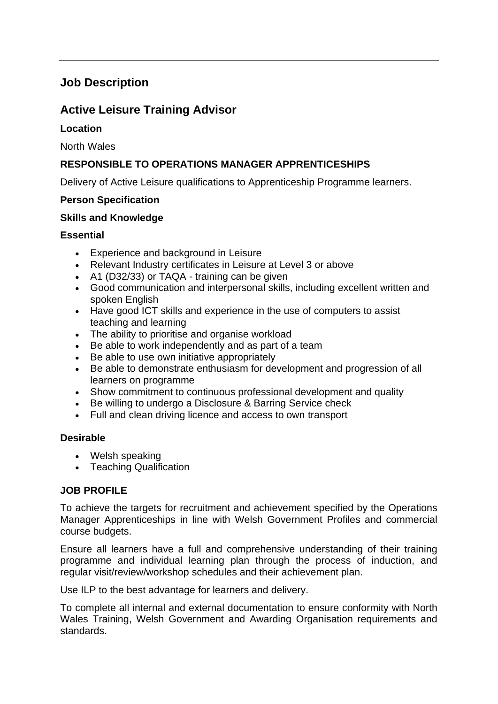# **Job Description**

## **Active Leisure Training Advisor**

## **Location**

North Wales

## **RESPONSIBLE TO OPERATIONS MANAGER APPRENTICESHIPS**

Delivery of Active Leisure qualifications to Apprenticeship Programme learners.

### **Person Specification**

#### **Skills and Knowledge**

### **Essential**

- Experience and background in Leisure
- Relevant Industry certificates in Leisure at Level 3 or above
- A1 (D32/33) or TAQA training can be given
- Good communication and interpersonal skills, including excellent written and spoken English
- Have good ICT skills and experience in the use of computers to assist teaching and learning
- The ability to prioritise and organise workload
- Be able to work independently and as part of a team
- Be able to use own initiative appropriately
- Be able to demonstrate enthusiasm for development and progression of all learners on programme
- Show commitment to continuous professional development and quality
- Be willing to undergo a Disclosure & Barring Service check
- Full and clean driving licence and access to own transport

#### **Desirable**

- Welsh speaking
- Teaching Qualification

#### **JOB PROFILE**

To achieve the targets for recruitment and achievement specified by the Operations Manager Apprenticeships in line with Welsh Government Profiles and commercial course budgets.

Ensure all learners have a full and comprehensive understanding of their training programme and individual learning plan through the process of induction, and regular visit/review/workshop schedules and their achievement plan.

Use ILP to the best advantage for learners and delivery.

To complete all internal and external documentation to ensure conformity with North Wales Training, Welsh Government and Awarding Organisation requirements and standards.